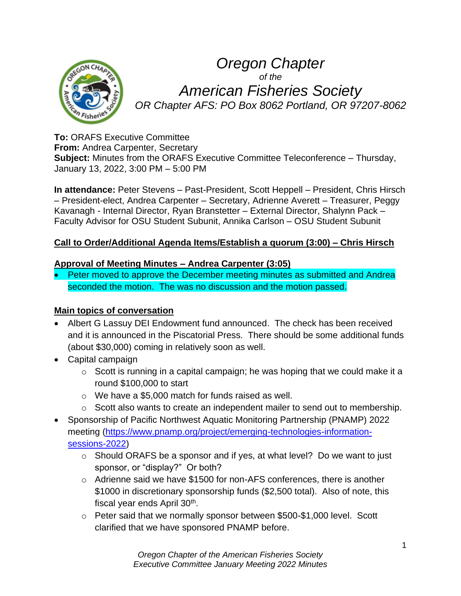

# *Oregon Chapter of the American Fisheries Society OR Chapter AFS: PO Box 8062 Portland, OR 97207-8062*

**To:** ORAFS Executive Committee **From:** Andrea Carpenter, Secretary **Subject:** Minutes from the ORAFS Executive Committee Teleconference – Thursday, January 13, 2022, 3:00 PM – 5:00 PM

**In attendance:** Peter Stevens – Past-President, Scott Heppell – President, Chris Hirsch – President-elect, Andrea Carpenter – Secretary, Adrienne Averett – Treasurer, Peggy Kavanagh - Internal Director, Ryan Branstetter – External Director, Shalynn Pack – Faculty Advisor for OSU Student Subunit, Annika Carlson – OSU Student Subunit

### **Call to Order/Additional Agenda Items/Establish a quorum (3:00) – Chris Hirsch**

### **Approval of Meeting Minutes – Andrea Carpenter (3:05)**

Peter moved to approve the December meeting minutes as submitted and Andrea seconded the motion. The was no discussion and the motion passed.

### **Main topics of conversation**

- Albert G Lassuy DEI Endowment fund announced. The check has been received and it is announced in the Piscatorial Press. There should be some additional funds (about \$30,000) coming in relatively soon as well.
- Capital campaign
	- $\circ$  Scott is running in a capital campaign; he was hoping that we could make it a round \$100,000 to start
	- o We have a \$5,000 match for funds raised as well.
	- o Scott also wants to create an independent mailer to send out to membership.
- Sponsorship of Pacific Northwest Aquatic Monitoring Partnership (PNAMP) 2022 meeting [\(https://www.pnamp.org/project/emerging-technologies-information](https://www.pnamp.org/project/emerging-technologies-information-sessions-2022)[sessions-2022\)](https://www.pnamp.org/project/emerging-technologies-information-sessions-2022)
	- o Should ORAFS be a sponsor and if yes, at what level? Do we want to just sponsor, or "display?" Or both?
	- o Adrienne said we have \$1500 for non-AFS conferences, there is another \$1000 in discretionary sponsorship funds (\$2,500 total). Also of note, this fiscal year ends April 30<sup>th</sup>.
	- o Peter said that we normally sponsor between \$500-\$1,000 level. Scott clarified that we have sponsored PNAMP before.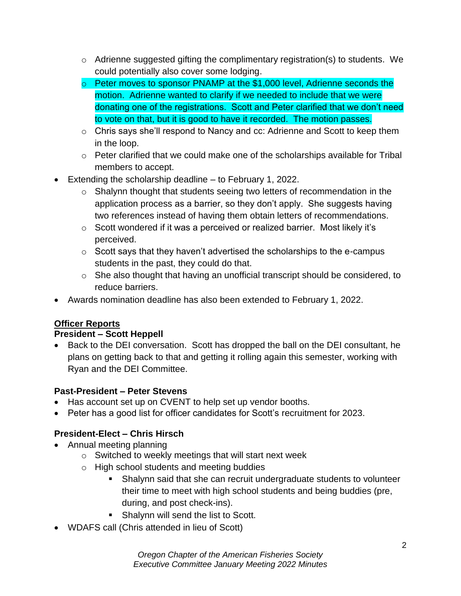- $\circ$  Adrienne suggested gifting the complimentary registration(s) to students. We could potentially also cover some lodging.
- o Peter moves to sponsor PNAMP at the \$1,000 level, Adrienne seconds the motion. Adrienne wanted to clarify if we needed to include that we were donating one of the registrations. Scott and Peter clarified that we don't need to vote on that, but it is good to have it recorded. The motion passes.
- o Chris says she'll respond to Nancy and cc: Adrienne and Scott to keep them in the loop.
- $\circ$  Peter clarified that we could make one of the scholarships available for Tribal members to accept.
- Extending the scholarship deadline to February 1, 2022.
	- o Shalynn thought that students seeing two letters of recommendation in the application process as a barrier, so they don't apply. She suggests having two references instead of having them obtain letters of recommendations.
	- o Scott wondered if it was a perceived or realized barrier. Most likely it's perceived.
	- $\circ$  Scott says that they haven't advertised the scholarships to the e-campus students in the past, they could do that.
	- o She also thought that having an unofficial transcript should be considered, to reduce barriers.
- Awards nomination deadline has also been extended to February 1, 2022.

### **Officer Reports**

### **President – Scott Heppell**

• Back to the DEI conversation. Scott has dropped the ball on the DEI consultant, he plans on getting back to that and getting it rolling again this semester, working with Ryan and the DEI Committee.

### **Past-President – Peter Stevens**

- Has account set up on CVENT to help set up vendor booths.
- Peter has a good list for officer candidates for Scott's recruitment for 2023.

### **President-Elect – Chris Hirsch**

- Annual meeting planning
	- o Switched to weekly meetings that will start next week
	- o High school students and meeting buddies
		- Shalynn said that she can recruit undergraduate students to volunteer their time to meet with high school students and being buddies (pre, during, and post check-ins).
		- Shalynn will send the list to Scott.
- WDAFS call (Chris attended in lieu of Scott)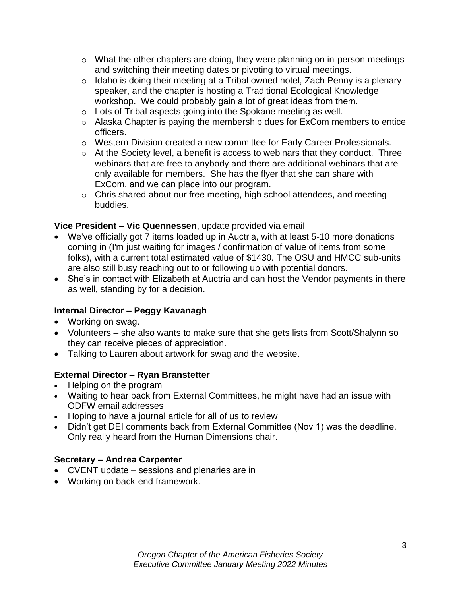- o What the other chapters are doing, they were planning on in-person meetings and switching their meeting dates or pivoting to virtual meetings.
- $\circ$  Idaho is doing their meeting at a Tribal owned hotel, Zach Penny is a plenary speaker, and the chapter is hosting a Traditional Ecological Knowledge workshop. We could probably gain a lot of great ideas from them.
- o Lots of Tribal aspects going into the Spokane meeting as well.
- o Alaska Chapter is paying the membership dues for ExCom members to entice officers.
- $\circ$  Western Division created a new committee for Early Career Professionals.
- $\circ$  At the Society level, a benefit is access to webinars that they conduct. Three webinars that are free to anybody and there are additional webinars that are only available for members. She has the flyer that she can share with ExCom, and we can place into our program.
- o Chris shared about our free meeting, high school attendees, and meeting buddies.

#### **Vice President – Vic Quennessen**, update provided via email

- We've officially got 7 items loaded up in Auctria, with at least 5-10 more donations coming in (I'm just waiting for images / confirmation of value of items from some folks), with a current total estimated value of \$1430. The OSU and HMCC sub-units are also still busy reaching out to or following up with potential donors.
- She's in contact with Elizabeth at Auctria and can host the Vendor payments in there as well, standing by for a decision.

### **Internal Director – Peggy Kavanagh**

- Working on swag.
- Volunteers she also wants to make sure that she gets lists from Scott/Shalynn so they can receive pieces of appreciation.
- Talking to Lauren about artwork for swag and the website.

### **External Director – Ryan Branstetter**

- Helping on the program
- Waiting to hear back from External Committees, he might have had an issue with ODFW email addresses
- Hoping to have a journal article for all of us to review
- Didn't get DEI comments back from External Committee (Nov 1) was the deadline. Only really heard from the Human Dimensions chair.

### **Secretary – Andrea Carpenter**

- CVENT update sessions and plenaries are in
- Working on back-end framework.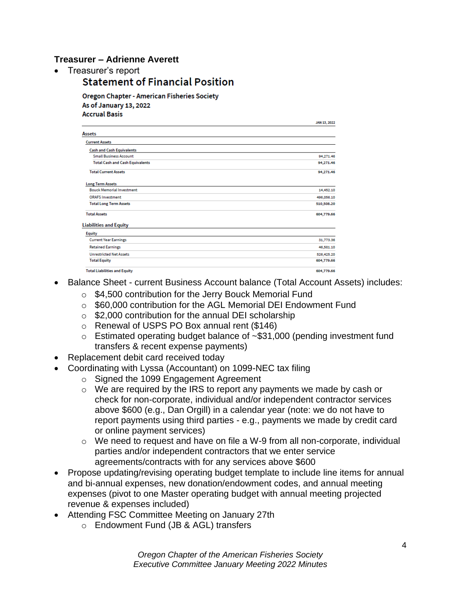#### **Treasurer – Adrienne Averett**

• Treasurer's report

## **Statement of Financial Position**

**Oregon Chapter - American Fisheries Society** As of January 13, 2022 **Accrual Basis** 

|                                        | JAN 13, 2022 |
|----------------------------------------|--------------|
| <b>Assets</b>                          |              |
| <b>Current Assets</b>                  |              |
| <b>Cash and Cash Equivalents</b>       |              |
| <b>Small Business Account</b>          | 94.271.46    |
| <b>Total Cash and Cash Equivalents</b> | 94,271.46    |
| <b>Total Current Assets</b>            | 94,271.46    |
| <b>Long Term Assets</b>                |              |
| <b>Bouck Memorial Investment</b>       | 14,452.10    |
| <b>ORAFS Investment</b>                | 496.056.10   |
| <b>Total Long Term Assets</b>          | 510,508.20   |
| <b>Total Assets</b>                    | 604,779.66   |
| <b>Liabilities and Equity</b>          |              |
| <b>Equity</b>                          |              |
| <b>Current Year Earnings</b>           | 31,773.36    |
| <b>Retained Earnings</b>               | 46,581.10    |
| <b>Unrestricted Net Assets</b>         | 526,425.20   |
| <b>Total Equity</b>                    | 604,779.66   |
| <b>Total Liabilities and Equity</b>    | 604.779.66   |

- Balance Sheet current Business Account balance (Total Account Assets) includes:
	- o \$4,500 contribution for the Jerry Bouck Memorial Fund
	- o \$60,000 contribution for the AGL Memorial DEI Endowment Fund
	- o \$2,000 contribution for the annual DEI scholarship
	- o Renewal of USPS PO Box annual rent (\$146)
	- o Estimated operating budget balance of ~\$31,000 (pending investment fund transfers & recent expense payments)
- Replacement debit card received today
- Coordinating with Lyssa (Accountant) on 1099-NEC tax filing
	- o Signed the 1099 Engagement Agreement
	- o We are required by the IRS to report any payments we made by cash or check for non-corporate, individual and/or independent contractor services above \$600 (e.g., Dan Orgill) in a calendar year (note: we do not have to report payments using third parties - e.g., payments we made by credit card or online payment services)
	- o We need to request and have on file a W-9 from all non-corporate, individual parties and/or independent contractors that we enter service agreements/contracts with for any services above \$600
- Propose updating/revising operating budget template to include line items for annual and bi-annual expenses, new donation/endowment codes, and annual meeting expenses (pivot to one Master operating budget with annual meeting projected revenue & expenses included)
- Attending FSC Committee Meeting on January 27th
	- o Endowment Fund (JB & AGL) transfers